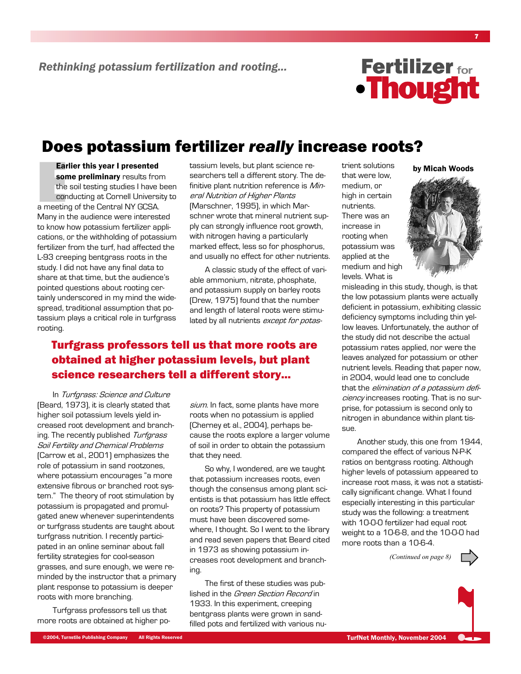

## Does potassium fertilizer really increase roots?

**Earlier this year I presented** some preliminary results from the soil testing studies I have been conducting at Cornell University to a meeting of the Central NY GCSA. Many in the audience were interested to know how potassium fertilizer applications, or the withholding of potassium fertilizer from the turf, had affected the L-93 creeping bentgrass roots in the study. I did not have any final data to share at that time, but the audience's pointed questions about rooting certainly underscored in my mind the widespread, traditional assumption that potassium plays a critical role in turfgrass rooting.

tassium levels, but plant science researchers tell a different story. The definitive plant nutrition reference is Mineral Nutrition of Higher Plants [Marschner, 1995], in which Marschner wrote that mineral nutrient supply can strongly influence root growth, with nitrogen having a particularly marked effect, less so for phosphorus, and usually no effect for other nutrients.

A classic study of the effect of variable ammonium, nitrate, phosphate, and potassium supply on barley roots (Drew, 1975) found that the number and length of lateral roots were stimulated by all nutrients except for potas-

#### **Turfgrass professors tell us that more roots are** obtained at higher potassium levels, but plant science researchers tell a different story...

In Turfgrass: Science and Culture [Beard, 1973], it is clearly stated that higher soil potassium levels yield increased root development and branching. The recently published Turfgrass Soil Fertility and Chemical Problems [Carrow et al., 2001] emphasizes the role of potassium in sand rootzones, where potassium encourages "a more extensive fibrous or branched root system." The theory of root stimulation by potassium is propagated and promulgated anew whenever superintendents or turfgrass students are taught about turfgrass nutrition. I recently participated in an online seminar about fall fertility strategies for cool-season grasses, and sure enough, we were reminded by the instructor that a primary plant response to potassium is deeper roots with more branching.

Turfgrass professors tell us that more roots are obtained at higher posium. In fact, some plants have more roots when no potassium is applied (Cherney et al., 2004), perhaps because the roots explore a larger volume of soil in order to obtain the potassium that they need.

So why, I wondered, are we taught that potassium increases roots, even though the consensus among plant scientists is that potassium has little effect on roots? This property of potassium must have been discovered somewhere, I thought. So I went to the library and read seven papers that Beard cited in 1973 as showing potassium increases root development and branching.

The first of these studies was published in the Green Section Record in 1933. In this experiment, creeping bentgrass plants were grown in sandfilled pots and fertilized with various nutrient solutions that were low. medium, or high in certain nutrients. There was an increase in rooting when potassium was applied at the medium and high levels. What is



by Micah Woods

misleading in this study, though, is that the low potassium plants were actually deficient in potassium, exhibiting classic deficiency symptoms including thin yellow leaves. Unfortunately, the author of the study did not describe the actual potassium rates applied, nor were the leaves analyzed for potassium or other nutrient levels. Reading that paper now, in 2004, would lead one to conclude that the *elimination of a potassium defi*ciency increases rooting. That is no surprise, for potassium is second only to nitrogen in abundance within plant tissue.

Another study, this one from 1944, compared the effect of various N-P-K ratios on bentgrass rooting. Although higher levels of potassium appeared to increase root mass, it was not a statistically significant change. What I found especially interesting in this particular study was the following: a treatment with 10-0-0 fertilizer had equal root weight to a 10-6-8, and the 10-0-0 had more roots than a 10-6-4.

(Continued on page 8)